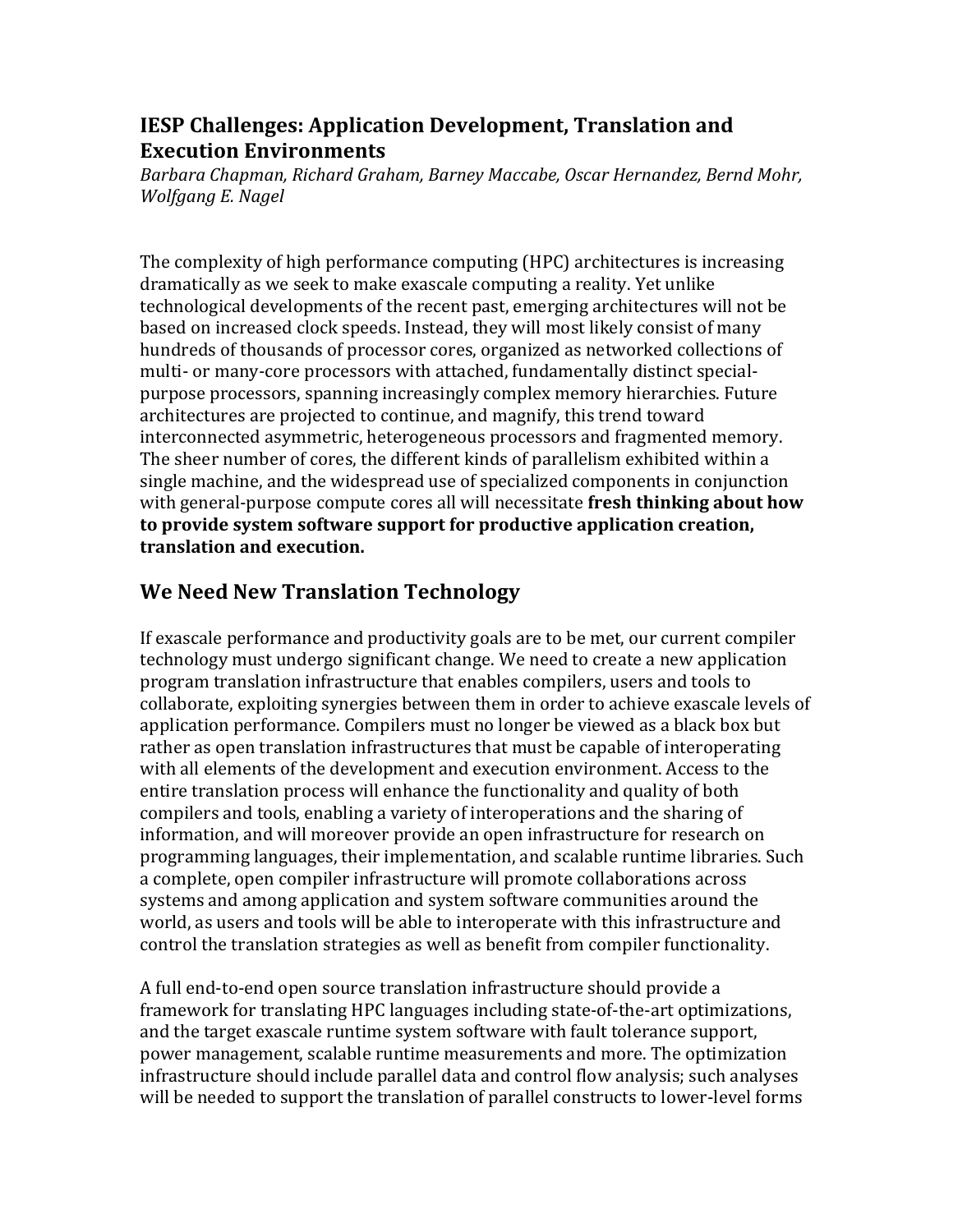## **IESP Challenges: Application Development, Translation and Execution Environments**

*Barbara%Chapman,%Richard%Graham,%Barney%Maccabe,%Oscar%Hernandez,%Bernd%Mohr,% Wolfgang E. Nagel* 

The complexity of high performance computing (HPC) architectures is increasing dramatically as we seek to make exascale computing a reality. Yet unlike technological developments of the recent past, emerging architectures will not be based on increased clock speeds. Instead, they will most likely consist of many hundreds of thousands of processor cores, organized as networked collections of multi- or many-core processors with attached, fundamentally distinct specialpurpose processors, spanning increasingly complex memory hierarchies. Future architectures are projected to continue, and magnify, this trend toward interconnected asymmetric, heterogeneous processors and fragmented memory. The sheer number of cores, the different kinds of parallelism exhibited within a single machine, and the widespread use of specialized components in conjunction with general-purpose compute cores all will necessitate fresh thinking about how to provide system software support for productive application creation, **translation%and%execution.**

# **We Need New Translation Technology**

If exascale performance and productivity goals are to be met, our current compiler technology must undergo significant change. We need to create a new application program translation infrastructure that enables compilers, users and tools to collaborate, exploiting synergies between them in order to achieve exascale levels of application performance. Compilers must no longer be viewed as a black box but rather as open translation infrastructures that must be capable of interoperating with all elements of the development and execution environment. Access to the entire translation process will enhance the functionality and quality of both compilers and tools, enabling a variety of interoperations and the sharing of information, and will moreover provide an open infrastructure for research on programming languages, their implementation, and scalable runtime libraries. Such a complete, open compiler infrastructure will promote collaborations across systems and among application and system software communities around the world, as users and tools will be able to interoperate with this infrastructure and control the translation strategies as well as benefit from compiler functionality.

A full end-to-end open source translation infrastructure should provide a framework for translating HPC languages including state-of-the-art optimizations, and the target exascale runtime system software with fault tolerance support, power management, scalable runtime measurements and more. The optimization infrastructure should include parallel data and control flow analysis; such analyses will be needed to support the translation of parallel constructs to lower-level forms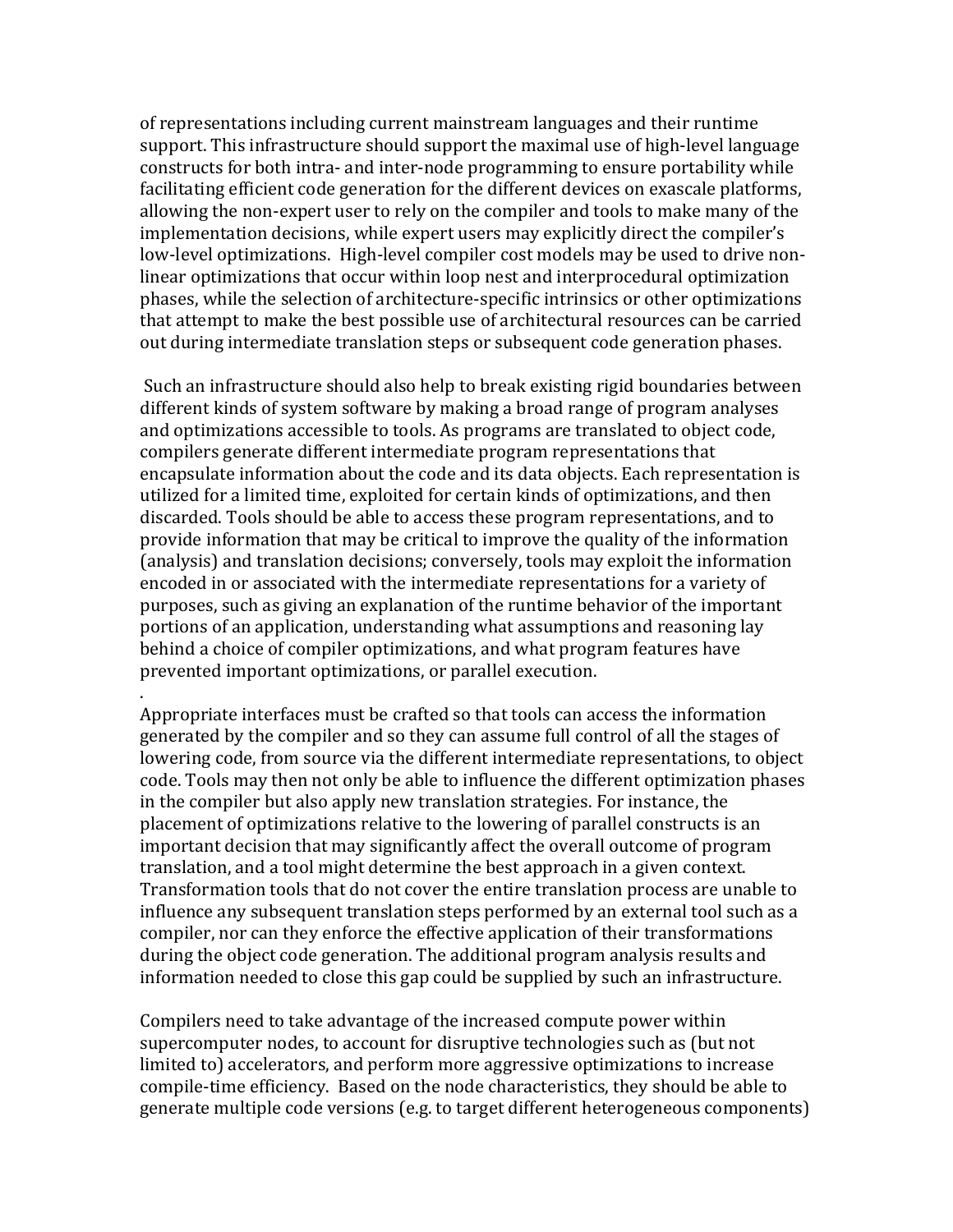of representations including current mainstream languages and their runtime support. This infrastructure should support the maximal use of high-level language constructs for both intra- and inter-node programming to ensure portability while facilitating efficient code generation for the different devices on exascale platforms. allowing the non-expert user to rely on the compiler and tools to make many of the implementation decisions, while expert users may explicitly direct the compiler's low-level optimizations. High-level compiler cost models may be used to drive nonlinear optimizations that occur within loop nest and interprocedural optimization phases, while the selection of architecture-specific intrinsics or other optimizations that attempt to make the best possible use of architectural resources can be carried out during intermediate translation steps or subsequent code generation phases.

Such an infrastructure should also help to break existing rigid boundaries between different kinds of system software by making a broad range of program analyses and optimizations accessible to tools. As programs are translated to object code, compilers generate different intermediate program representations that encapsulate information about the code and its data objects. Each representation is utilized for a limited time, exploited for certain kinds of optimizations, and then discarded. Tools should be able to access these program representations, and to provide information that may be critical to improve the quality of the information (analysis) and translation decisions; conversely, tools may exploit the information encoded in or associated with the intermediate representations for a variety of purposes, such as giving an explanation of the runtime behavior of the important portions of an application, understanding what assumptions and reasoning lay behind a choice of compiler optimizations, and what program features have prevented important optimizations, or parallel execution.

Appropriate interfaces must be crafted so that tools can access the information generated by the compiler and so they can assume full control of all the stages of lowering code, from source via the different intermediate representations, to object code. Tools may then not only be able to influence the different optimization phases in the compiler but also apply new translation strategies. For instance, the placement of optimizations relative to the lowering of parallel constructs is an important decision that may significantly affect the overall outcome of program translation, and a tool might determine the best approach in a given context. Transformation tools that do not cover the entire translation process are unable to influence any subsequent translation steps performed by an external tool such as a compiler, nor can they enforce the effective application of their transformations during the object code generation. The additional program analysis results and information needed to close this gap could be supplied by such an infrastructure.

.!

Compilers need to take advantage of the increased compute power within supercomputer nodes, to account for disruptive technologies such as (but not limited to) accelerators, and perform more aggressive optimizations to increase compile-time efficiency. Based on the node characteristics, they should be able to generate multiple code versions (e.g. to target different heterogeneous components)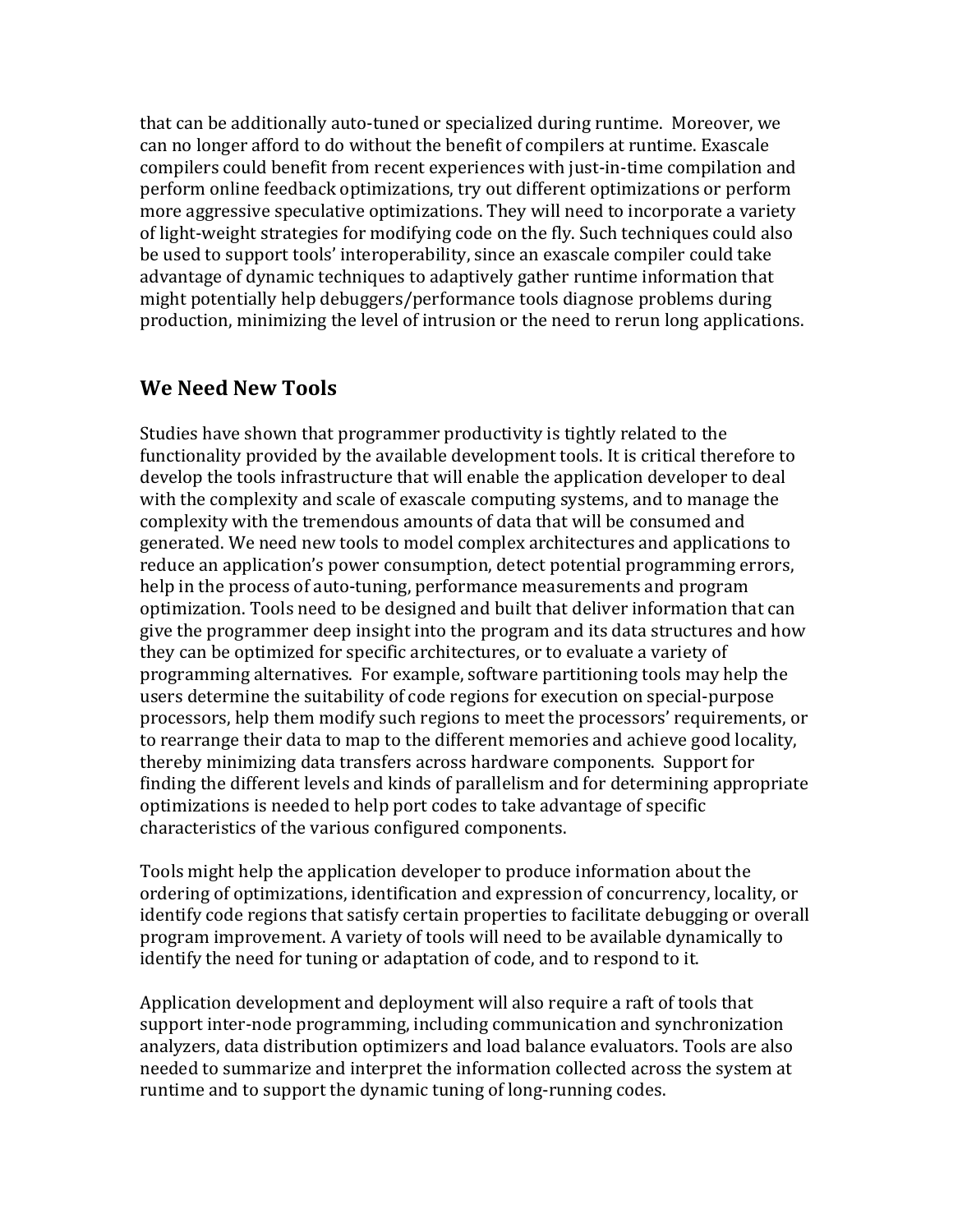that can be additionally auto-tuned or specialized during runtime. Moreover, we can no longer afford to do without the benefit of compilers at runtime. Exascale compilers could benefit from recent experiences with just-in-time compilation and perform online feedback optimizations, try out different optimizations or perform more aggressive speculative optimizations. They will need to incorporate a variety of light-weight strategies for modifying code on the fly. Such techniques could also be used to support tools' interoperability, since an exascale compiler could take advantage of dynamic techniques to adaptively gather runtime information that might potentially help debuggers/performance tools diagnose problems during production, minimizing the level of intrusion or the need to rerun long applications.

#### We Need New Tools

Studies have shown that programmer productivity is tightly related to the functionality provided by the available development tools. It is critical therefore to develop the tools infrastructure that will enable the application developer to deal with the complexity and scale of exascale computing systems, and to manage the complexity with the tremendous amounts of data that will be consumed and generated. We need new tools to model complex architectures and applications to reduce an application's power consumption, detect potential programming errors, help in the process of auto-tuning, performance measurements and program optimization. Tools need to be designed and built that deliver information that can give the programmer deep insight into the program and its data structures and how they can be optimized for specific architectures, or to evaluate a variety of programming alternatives. For example, software partitioning tools may help the users determine the suitability of code regions for execution on special-purpose processors, help them modify such regions to meet the processors' requirements, or to rearrange their data to map to the different memories and achieve good locality, thereby minimizing data transfers across hardware components. Support for finding the different levels and kinds of parallelism and for determining appropriate optimizations is needed to help port codes to take advantage of specific characteristics of the various configured components.

Tools might help the application developer to produce information about the ordering of optimizations, identification and expression of concurrency, locality, or identify code regions that satisfy certain properties to facilitate debugging or overall program improvement. A variety of tools will need to be available dynamically to identify the need for tuning or adaptation of code, and to respond to it.

Application development and deployment will also require a raft of tools that support inter-node programming, including communication and synchronization analyzers, data distribution optimizers and load balance evaluators. Tools are also needed to summarize and interpret the information collected across the system at runtime and to support the dynamic tuning of long-running codes.